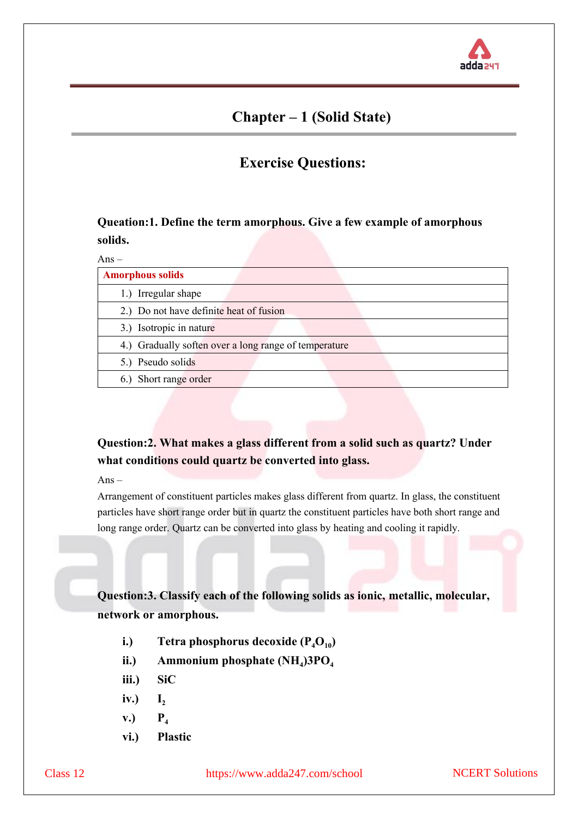

# **Chapter – 1 (Solid State)**

# **Exercise Questions:**

### **Queation:1. Define the term amorphous. Give a few example of amorphous solids.**

| $Ans-$                                                |
|-------------------------------------------------------|
| <b>Amorphous solids</b>                               |
| 1.) Irregular shape                                   |
| 2.) Do not have definite heat of fusion               |
| 3.) Isotropic in nature                               |
| 4.) Gradually soften over a long range of temperature |
| 5.) Pseudo solids                                     |
| 6.) Short range order                                 |

## **Question:2. What makes a glass different from a solid such as quartz? Under what conditions could quartz be converted into glass.**

Ans –

Arrangement of constituent particles makes glass different from quartz. In glass, the constituent particles have short range order but in quartz the constituent particles have both short range and long range order. Quartz can be converted into glass by heating and cooling it rapidly.

**Question:3. Classify each of the following solids as ionic, metallic, molecular, network or amorphous.**

- **i.) Tetra phosphorus decoxide**  $(P_4O_{10})$
- **ii.) Ammonium phosphate (NH<sup>4</sup> )3PO<sup>4</sup>**
- **iii.) SiC**
- iv.)  $I_2$
- $\mathbf{v.}$ )  $\mathbf{P}_4$
- **vi.) Plastic**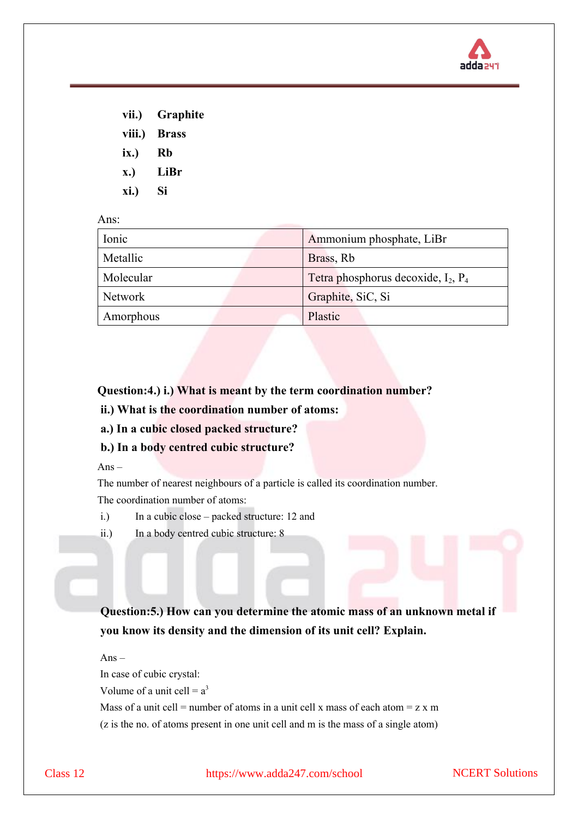

| vii.)       | <b>Graphite</b> |
|-------------|-----------------|
| viii.)      | <b>Brass</b>    |
| ix.)        | Rb              |
| <b>x.)</b>  | LiBr            |
| <b>xi.)</b> | Si              |

Ans:

| Ionic          | Ammonium phosphate, LiBr                 |
|----------------|------------------------------------------|
| Metallic       | Brass, Rb                                |
| Molecular      | Tetra phosphorus decoxide, $I_2$ , $P_4$ |
| <b>Network</b> | Graphite, SiC, Si                        |
| Amorphous      | Plastic                                  |

### **Question:4.) i.) What is meant by the term coordination number?**

- **ii.) What is the coordination number of atoms:**
- **a.) In a cubic closed packed structure?**
- **b.) In a body centred cubic structure?**

 $Ans -$ 

The number of nearest neighbours of a particle is called its coordination number. The coordination number of atoms:

- i.) In a cubic close packed structure: 12 and
- ii.) In a body centred cubic structure: 8

**Question:5.) How can you determine the atomic mass of an unknown metal if you know its density and the dimension of its unit cell? Explain.**

Ans – In case of cubic crystal: Volume of a unit cell  $= a<sup>3</sup>$ Mass of a unit cell = number of atoms in a unit cell x mass of each atom =  $z \times m$ (z is the no. of atoms present in one unit cell and m is the mass of a single atom)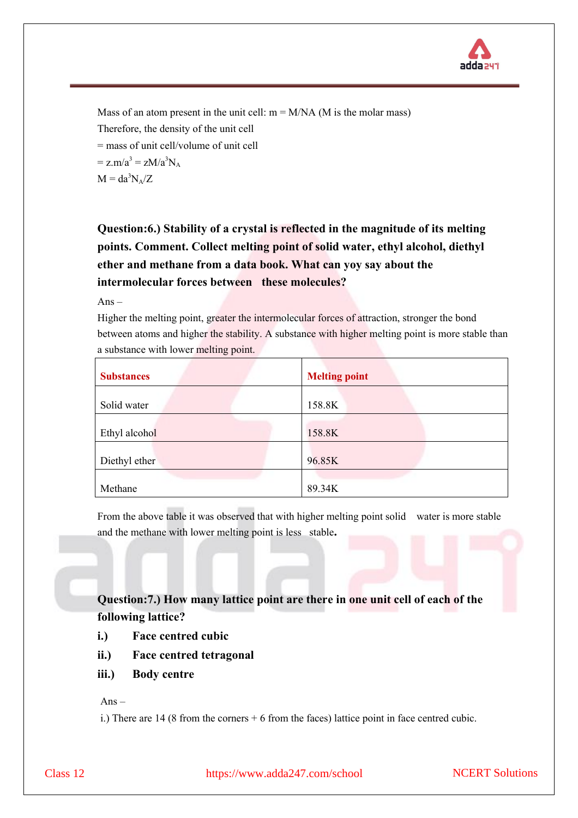

Mass of an atom present in the unit cell:  $m = M/NA$  (M is the molar mass) Therefore, the density of the unit cell = mass of unit cell/volume of unit cell  $= z.m/a<sup>3</sup> = zM/a<sup>3</sup>N<sub>A</sub>$  $M = da^3N_A/Z$ 

# **Question:6.) Stability of a crystal is reflected in the magnitude of its melting points. Comment. Collect melting point of solid water, ethyl alcohol, diethyl ether and methane from a data book. What can yoy say about the intermolecular forces between these molecules?**

Ans –

Higher the melting point, greater the intermolecular forces of attraction, stronger the bond between atoms and higher the stability. A substance with higher melting point is more stable than a substance with lower melting point.

| <b>Substances</b> | <b>Melting point</b> |
|-------------------|----------------------|
| Solid water       | 158.8K               |
| Ethyl alcohol     | 158.8K               |
| Diethyl ether     | 96.85K               |
| Methane           | 89.34K               |

From the above table it was observed that with higher melting point solid water is more stable and the methane with lower melting point is less stable**.**

## **Question:7.) How many lattice point are there in one unit cell of each of the following lattice?**

- **i.) Face centred cubic**
- **ii.) Face centred tetragonal**
- **iii.) Body centre**

 $Ans-$ 

i.) There are 14 (8 from the corners + 6 from the faces) lattice point in face centred cubic.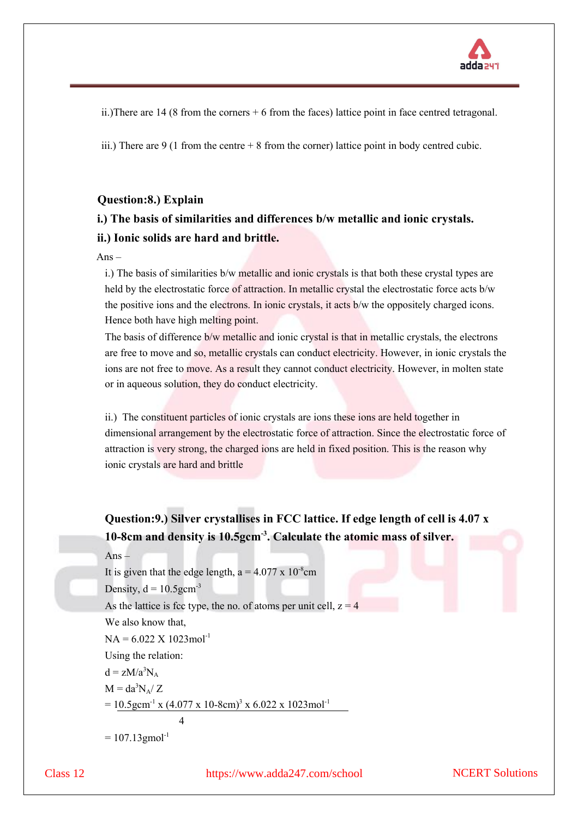

ii.)There are 14 (8 from the corners + 6 from the faces) lattice point in face centred tetragonal.

iii.) There are  $9(1 \text{ from the centre} + 8 \text{ from the corner})$  lattice point in body centred cubic.

#### **Question:8.) Explain**

## **i.) The basis of similarities and differences b/w metallic and ionic crystals. ii.) Ionic solids are hard and brittle.**

#### $Ans-$

i.) The basis of similarities b/w metallic and ionic crystals is that both these crystal types are held by the electrostatic force of attraction. In metallic crystal the electrostatic force acts b/w the positive ions and the electrons. In ionic crystals, it acts b/w the oppositely charged icons. Hence both have high melting point.

The basis of difference b/w metallic and ionic crystal is that in metallic crystals, the electrons are free to move and so, metallic crystals can conduct electricity. However, in ionic crystals the ions are not free to move. As a result they cannot conduct electricity. However, in molten state or in aqueous solution, they do conduct electricity.

ii.) The constituent particles of ionic crystals are ions these ions are held together in dimensional arrangement by the electrostatic force of attraction. Since the electrostatic force of attraction is very strong, the charged ions are held in fixed position. This is the reason why ionic crystals are hard and brittle

**Question:9.) Silver crystallises in FCC lattice. If edge length of cell is 4.07 x 10-8cm and density is 10.5gcm-3 . Calculate the atomic mass of silver.**

```
Ans –
```
It is given that the edge length,  $a = 4.077 \times 10^{-8}$ cm Density,  $d = 10.5$ gcm<sup>-3</sup> As the lattice is fcc type, the no. of atoms per unit cell,  $z = 4$ We also know that,  $NA = 6.022 \times 1023$  mol<sup>-1</sup> Using the relation:  $d = zM/a^3N_A$  $M = da^3N_A/Z$  $= 10.5$ gcm<sup>-1</sup> x (4.077 x 10-8cm)<sup>3</sup> x 6.022 x 1023mol<sup>-1</sup> 4  $= 107.13$ gmol<sup>-1</sup>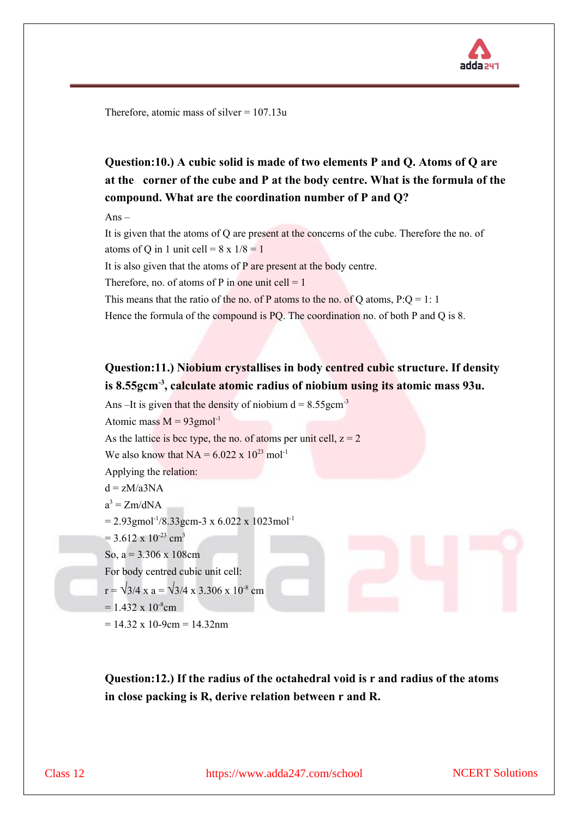

Therefore, atomic mass of silver  $= 107.13u$ 

**Question:10.) A cubic solid is made of two elements P and Q. Atoms of Q are at the corner of the cube and P at the body centre. What is the formula of the compound. What are the coordination number of P and Q?**

Ans –

It is given that the atoms of Q are present at the concerns of the cube. Therefore the no. of atoms of Q in 1 unit cell =  $8 \times 1/8 = 1$ 

It is also given that the atoms of P are present at the body centre.

Therefore, no. of atoms of P in one unit cell  $= 1$ 

This means that the ratio of the no. of P atoms to the no. of Q atoms,  $P:Q = 1:1$ 

Hence the formula of the compound is PQ. The coordination no. of both P and Q is 8.

## **Question:11.) Niobium crystallises in body centred cubic structure. If density is 8.55gcm-3 , calculate atomic radius of niobium using its atomic mass 93u.**

Ans –It is given that the density of niobium  $d = 8.55$ gcm<sup>-3</sup> Atomic mass  $M = 93$ gmol<sup>-1</sup> As the lattice is bcc type, the no. of atoms per unit cell,  $z = 2$ We also know that  $NA = 6.022 \times 10^{23}$  mol<sup>-1</sup> Applying the relation:  $d = zM/a3NA$  $a^3 = Zm/dNA$  $= 2.93$ gmol<sup>-1</sup>/8.33gcm-3 x 6.022 x 1023mol<sup>-1</sup>  $= 3.612 \times 10^{-23}$  cm<sup>3</sup> So,  $a = 3.306 \times 108$ cm For body centred cubic unit cell:  $r = \sqrt{3}/4$  x a =  $\sqrt{3}/4$  x 3.306 x 10<sup>-8</sup> cm  $= 1.432 \times 10^{-8}$ cm

 $= 14.32 \times 10{-9cm} = 14.32nm$ 

**Question:12.) If the radius of the octahedral void is r and radius of the atoms in close packing is R, derive relation between r and R.**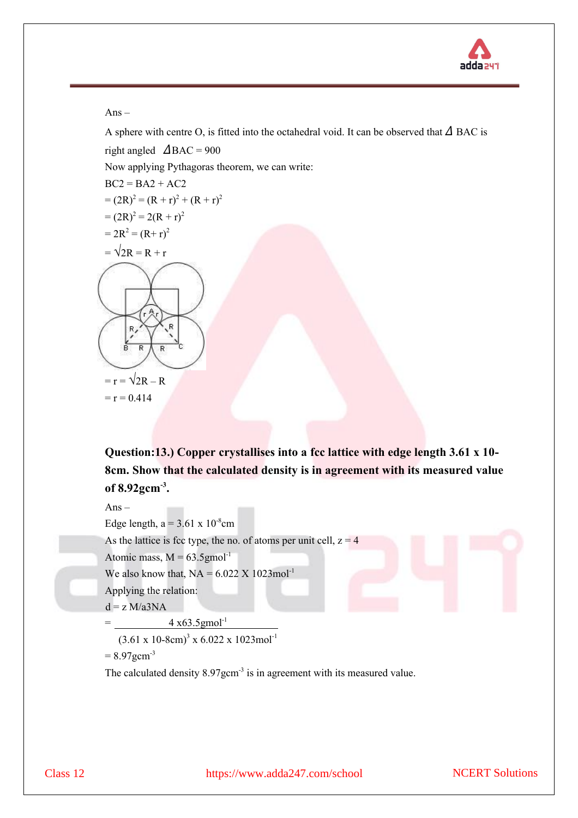

#### $Ans -$

A sphere with centre O, is fitted into the octahedral void. It can be observed that  $\triangle$  BAC is

right angled  $\triangle$ BAC = 900

Now applying Pythagoras theorem, we can write:

 $BC2 = BA2 + AC2$  $= (2R)^2 = (R + r)^2 + (R + r)^2$  $=(2R)^2 = 2(R + r)^2$  $= 2R^2 = (R+r)^2$  $=\sqrt{2R} = R + r$ 

 $=$  r  $=$   $\sqrt{2R} - R$  $= r = 0.414$ 

**Question:13.) Copper crystallises into a fcc lattice with edge length 3.61 x 10- 8cm. Show that the calculated density is in agreement with its measured value of 8.92gcm-3 .**

 $Ans -$ 

Edge length,  $a = 3.61 \times 10^{-8}$ cm

As the lattice is fcc type, the no. of atoms per unit cell,  $z = 4$ 

Atomic mass,  $M = 63.5$ gmol<sup>-1</sup>

We also know that,  $NA = 6.022 \times 1023 \text{mol}^{-1}$ 

Applying the relation:

 $d = z M/a3NA$ 

 $=$  4 x63.5gmol<sup>-1</sup>  $\overline{\phantom{0}}$ 

 $(3.61 \times 10^{-8} \text{cm})^3 \times 6.022 \times 1023 \text{mol}^{-1}$ 

 $= 8.97$ gcm<sup>-3</sup>

The calculated density 8.97gcm<sup>-3</sup> is in agreement with its measured value.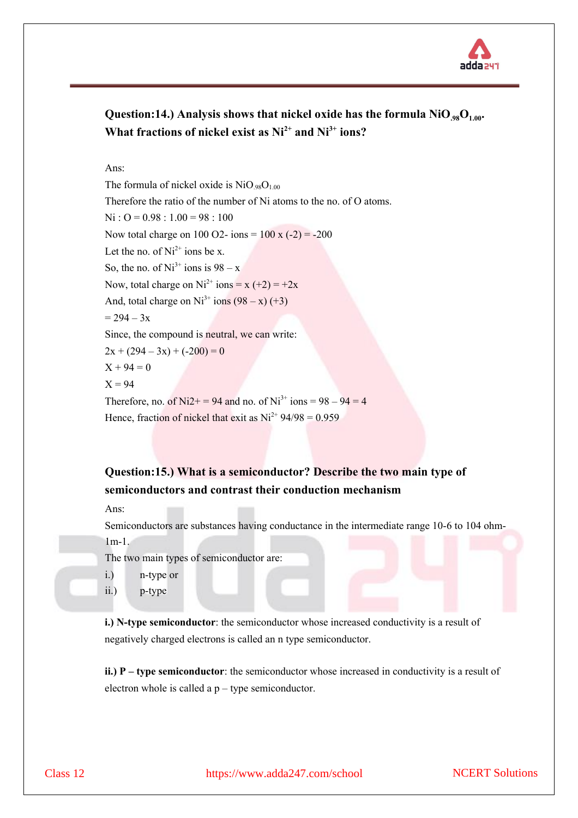

## **Question:14.) Analysis shows that nickel oxide has the formula NiO.98O1.00. What fractions of nickel exist as Ni2+ and Ni3+ ions?**

Ans:

The formula of nickel oxide is  $NiO_{.98}O_{1.00}$ Therefore the ratio of the number of Ni atoms to the no. of O atoms.  $Ni : O = 0.98 : 1.00 = 98 : 100$ Now total charge on 100 O2- ions =  $100 x (-2) = -200$ Let the no. of  $Ni^{2+}$  ions be x. So, the no. of  $Ni^{3+}$  ions is  $98 - x$ Now, total charge on  $Ni^{2+}$  ions = x (+2) = +2x And, total charge on  $Ni<sup>3+</sup> ions (98 - x) (+3)$  $= 294 - 3x$ Since, the compound is neutral, we can write:  $2x + (294 - 3x) + (-200) = 0$  $X + 94 = 0$  $X = 94$ Therefore, no. of Ni2+ = 94 and no. of Ni<sup>3+</sup> ions =  $98 - 94 = 4$ Hence, fraction of nickel that exit as  $Ni^{2+} 94/98 = 0.959$ 

### **Question:15.) What is a semiconductor? Describe the two main type of semiconductors and contrast their conduction mechanism**

Ans:

Semiconductors are substances having conductance in the intermediate range 10-6 to 104 ohm-1m-1.

The two main types of semiconductor are:

- i.) n-type or
- ii.) p-type

**i.) N-type semiconductor**: the semiconductor whose increased conductivity is a result of negatively charged electrons is called an n type semiconductor.

**ii.) P – type semiconductor**: the semiconductor whose increased in conductivity is a result of electron whole is called a  $p$  – type semiconductor.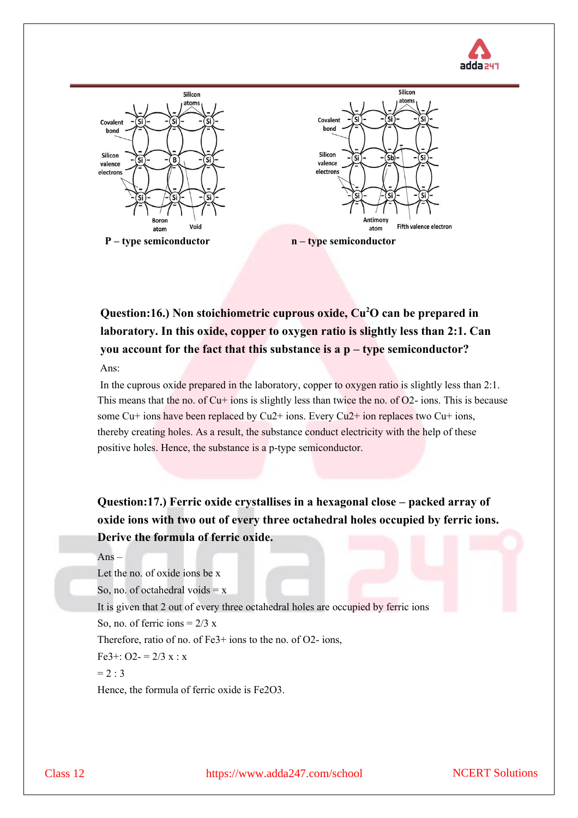



**Question:16.) Non stoichiometric cuprous oxide, Cu2O can be prepared in laboratory. In this oxide, copper to oxygen ratio is slightly less than 2:1. Can you account for the fact that this substance is a p – type semiconductor?** Ans:

In the cuprous oxide prepared in the laboratory, copper to oxygen ratio is slightly less than 2:1. This means that the no. of  $Cu+$  ions is slightly less than twice the no. of  $O2-$  ions. This is because some Cu+ ions have been replaced by Cu2+ ions. Every Cu2+ ion replaces two Cu+ ions, thereby creating holes. As a result, the substance conduct electricity with the help of these positive holes. Hence, the substance is a p-type semiconductor.

**Question:17.) Ferric oxide crystallises in a hexagonal close – packed array of oxide ions with two out of every three octahedral holes occupied by ferric ions. Derive the formula of ferric oxide.**

#### $Ans-$

Let the no. of oxide ions be x

So, no. of octahedral voids  $= x$ 

It is given that 2 out of every three octahedral holes are occupied by ferric ions

So, no. of ferric ions  $= 2/3$  x

Therefore, ratio of no. of Fe3+ ions to the no. of O2- ions,

Fe3+: O2- =  $2/3 x : x$ 

 $= 2 : 3$ 

Hence, the formula of ferric oxide is Fe2O3.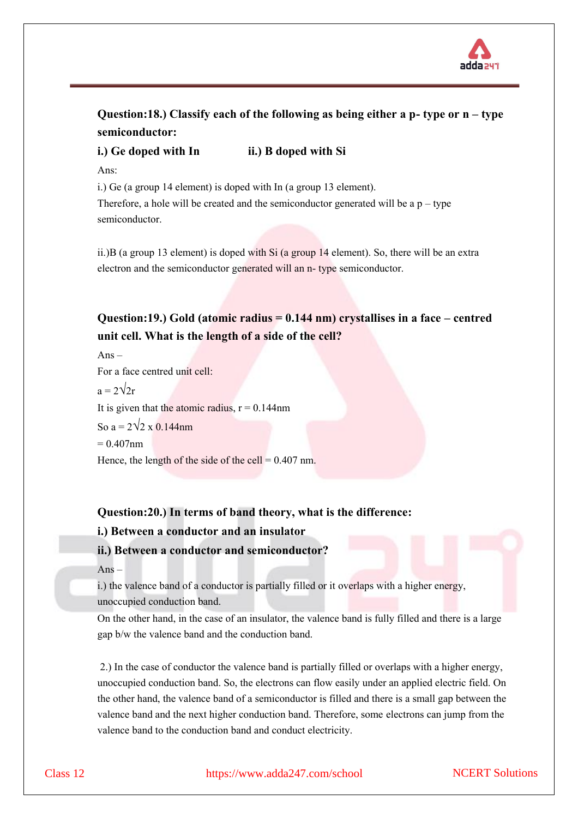

## **Question:18.) Classify each of the following as being either a p- type or n – type semiconductor:**

**i.)** Ge doped with In **ii.**) B doped with Si

Ans:

i.) Ge (a group 14 element) is doped with In (a group 13 element).

Therefore, a hole will be created and the semiconductor generated will be a  $p - type$ semiconductor.

ii.)B (a group 13 element) is doped with Si (a group 14 element). So, there will be an extra electron and the semiconductor generated will an n- type semiconductor.

## **Question:19.) Gold (atomic radius = 0.144 nm) crystallises in a face – centred unit cell. What is the length of a side of the cell?**

 $Ans -$ For a face centred unit cell:  $a = 2\sqrt{2r}$ It is given that the atomic radius,  $r = 0.144$ nm So  $a = 2\sqrt{2 \times 0.144}$ nm  $= 0.407$ nm Hence, the length of the side of the cell =  $0.407$  nm.

### **Question:20.) In terms of band theory, what is the difference:**

#### **i.) Between a conductor and an insulator**

#### **ii.) Between a conductor and semiconductor?**

Ans –

i.) the valence band of a conductor is partially filled or it overlaps with a higher energy, unoccupied conduction band.

On the other hand, in the case of an insulator, the valence band is fully filled and there is a large gap b/w the valence band and the conduction band.

2.) In the case of conductor the valence band is partially filled or overlaps with a higher energy, unoccupied conduction band. So, the electrons can flow easily under an applied electric field. On the other hand, the valence band of a semiconductor is filled and there is a small gap between the valence band and the next higher conduction band. Therefore, some electrons can jump from the valence band to the conduction band and conduct electricity.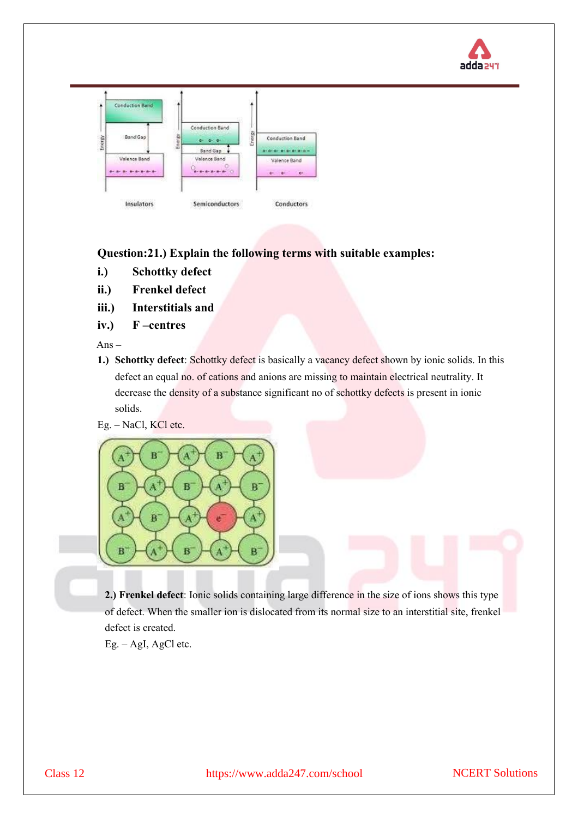



**Question:21.) Explain the following terms with suitable examples:** 

- **i.) Schottky defect**
- **ii.) Frenkel defect**
- **iii.) Interstitials and**
- **iv.) F –centres**

Ans –

**1.) Schottky defect**: Schottky defect is basically a vacancy defect shown by ionic solids. In this defect an equal no. of cations and anions are missing to maintain electrical neutrality. It decrease the density of a substance significant no of schottky defects is present in ionic solids.

Eg. – NaCl, KCl etc.



**2.) Frenkel defect**: Ionic solids containing large difference in the size of ions shows this type of defect. When the smaller ion is dislocated from its normal size to an interstitial site, frenkel defect is created.

Eg. – AgI, AgCl etc.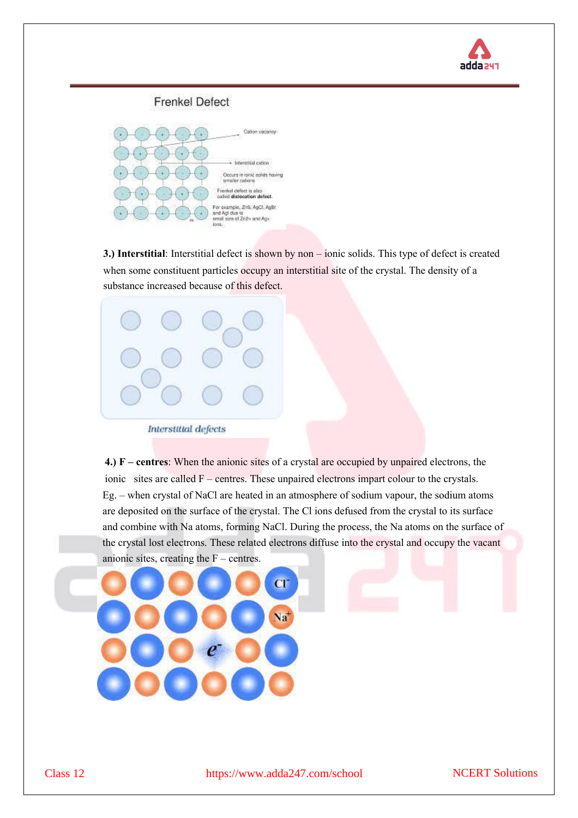

# **Frenkel Defect**



**3.) Interstitial**: Interstitial defect is shown by non – ionic solids. This type of defect is created when some constituent particles occupy an interstitial site of the crystal. The density of a substance increased because of this defect.



**4.) F – centres**: When the anionic sites of a crystal are occupied by unpaired electrons, the ionic sites are called F – centres. These unpaired electrons impart colour to the crystals. Eg. – when crystal of NaCl are heated in an atmosphere of sodium vapour, the sodium atoms are deposited on the surface of the crystal. The Cl ions defused from the crystal to its surface and combine with Na atoms, forming NaCl. During the process, the Na atoms on the surface of the crystal lost electrons. These related electrons diffuse into the crystal and occupy the vacant anionic sites, creating the  $F$  – centres.

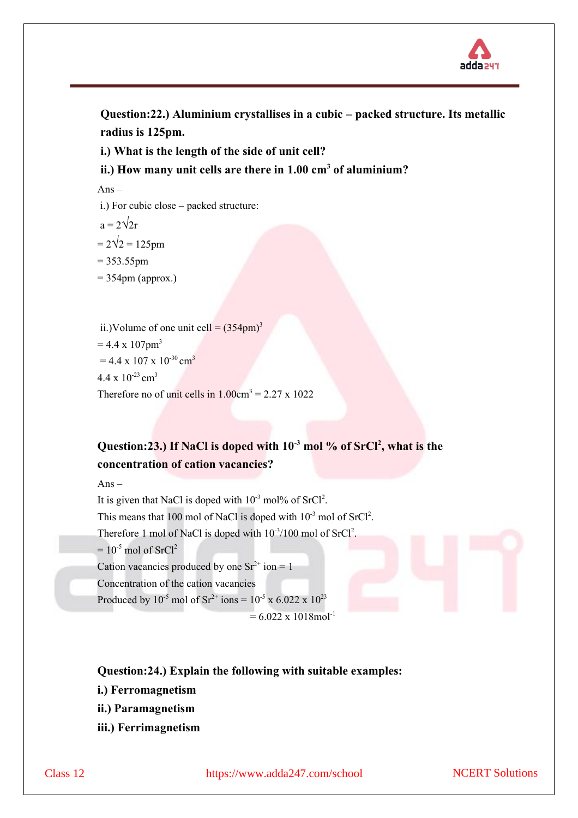

**Question:22.) Aluminium crystallises in a cubic – packed structure. Its metallic radius is 125pm.** 

**i.) What is the length of the side of unit cell?** 

**ii.) How many unit cells are there in 1.00 cm<sup>3</sup> of aluminium?**

 $Ans-$ 

- i.) For cubic close packed structure:
- $a = 2\sqrt{2r}$
- $= 2\sqrt{2} = 125$ pm
- $= 353.55$ pm
- $= 354$ pm (approx.)

```
ii.)Volume of one unit cell = (354 \text{pm})^3= 4.4 \times 107pm<sup>3</sup>
= 4.4 \times 107 \times 10^{-30} cm<sup>3</sup>
4.4 \times 10^{-23} cm<sup>3</sup>
Therefore no of unit cells in 1.00 \text{cm}^3 = 2.27 \text{ x } 1022
```
# **Question:23.) If NaCl is doped with 10-3 mol % of SrCl<sup>2</sup> , what is the concentration of cation vacancies?**

Ans –

It is given that NaCl is doped with  $10^{-3}$  mol% of SrCl<sup>2</sup>.

This means that 100 mol of NaCl is doped with  $10^{-3}$  mol of SrCl<sup>2</sup>.

Therefore 1 mol of NaCl is doped with  $10^{-3}/100$  mol of  $SrCl<sup>2</sup>$ .

 $= 10^{-5}$  mol of SrCl<sup>2</sup>

Cation vacancies produced by one  $Sr^{2+}$  ion = 1

Concentration of the cation vacancies

Produced by  $10^{-5}$  mol of  $\text{Sr}^{2+}$  ions =  $10^{-5}$  x 6.022 x  $10^{23}$ 

 $= 6.022 \times 1018$ mol<sup>-1</sup>

### **Question:24.) Explain the following with suitable examples:**

- **i.) Ferromagnetism**
- **ii.) Paramagnetism**
- **iii.) Ferrimagnetism**